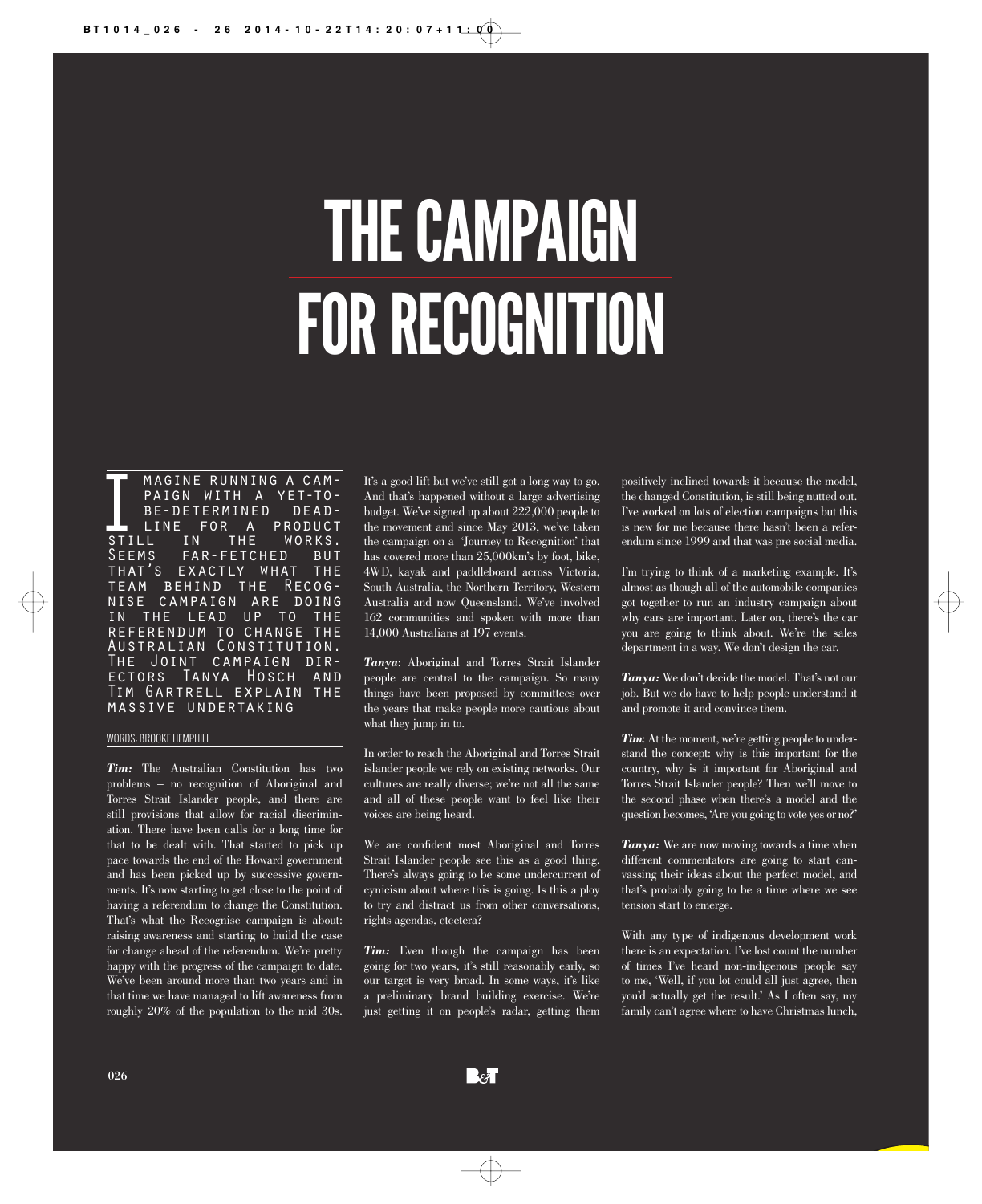## THE CAMPAIGN FOR RECOGNITION

MAGINE RUNNING A CAM-<br>PAIGN WITH A YET-TO-<br>BE-DETERMINED DEAD-<br>LINE FOR A PRODUCT paign with a yet-to-BE-DETERMINED PRODUCT IN THE WORKS. Seems far-fetched but that's exactly what the team behind the Recognise campaign are doing in the lead up to the referendum to change the Australian Constitution. The Joint campaign directors Tanya Hosch and Tim Gartrell explain the massive undertaking

## WORDS: BROOKE HEMPHILL

*Tim:* The Australian Constitution has two problems – no recognition of Aboriginal and Torres Strait Islander people, and there are still provisions that allow for racial discrimination. There have been calls for a long time for that to be dealt with. That started to pick up pace towards the end of the Howard government and has been picked up by successive governments. It's now starting to get close to the point of having a referendum to change the Constitution. That's what the Recognise campaign is about: raising awareness and starting to build the case for change ahead of the referendum. We're pretty happy with the progress of the campaign to date. We've been around more than two years and in that time we have managed to lift awareness from roughly 20% of the population to the mid 30s.

It's a good lift but we've still got a long way to go. And that's happened without a large advertising budget. We've signed up about 222,000 people to the movement and since May 2013, we've taken the campaign on a 'Journey to Recognition' that has covered more than 25,000km's by foot, bike, 4WD, kayak and paddleboard across Victoria, South Australia, the Northern Territory, Western Australia and now Queensland. We've involved 162 communities and spoken with more than 14,000 Australians at 197 events.

*Tanya*: Aboriginal and Torres Strait Islander people are central to the campaign. So many things have been proposed by committees over the years that make people more cautious about what they jump in to.

In order to reach the Aboriginal and Torres Strait islander people we rely on existing networks. Our cultures are really diverse; we're not all the same and all of these people want to feel like their voices are being heard.

We are confident most Aboriginal and Torres Strait Islander people see this as a good thing. There's always going to be some undercurrent of cynicism about where this is going. Is this a ploy to try and distract us from other conversations, rights agendas, etcetera?

Tim: Even though the campaign has been going for two years, it's still reasonably early, so our target is very broad. In some ways, it's like a preliminary brand building exercise. We're just getting it on people's radar, getting them

positively inclined towards it because the model, the changed Constitution, is still being nutted out. I've worked on lots of election campaigns but this is new for me because there hasn't been a referendum since 1999 and that was pre social media.

I'm trying to think of a marketing example. It's almost as though all of the automobile companies got together to run an industry campaign about why cars are important. Later on, there's the car you are going to think about. We're the sales department in a way. We don't design the car.

*Tanya:* We don't decide the model. That's not our job. But we do have to help people understand it and promote it and convince them.

*Tim*: At the moment, we're getting people to understand the concept: why is this important for the country, why is it important for Aboriginal and Torres Strait Islander people? Then we'll move to the second phase when there's a model and the question becomes, 'Are you going to vote yes or no?'

*Tanya:* We are now moving towards a time when different commentators are going to start canvassing their ideas about the perfect model, and that's probably going to be a time where we see tension start to emerge.

With any type of indigenous development work there is an expectation. I've lost count the number of times I've heard non-indigenous people say to me, 'Well, if you lot could all just agree, then you'd actually get the result.' As I often say, my family can't agree where to have Christmas lunch,

 $\Box$ क्ष ।